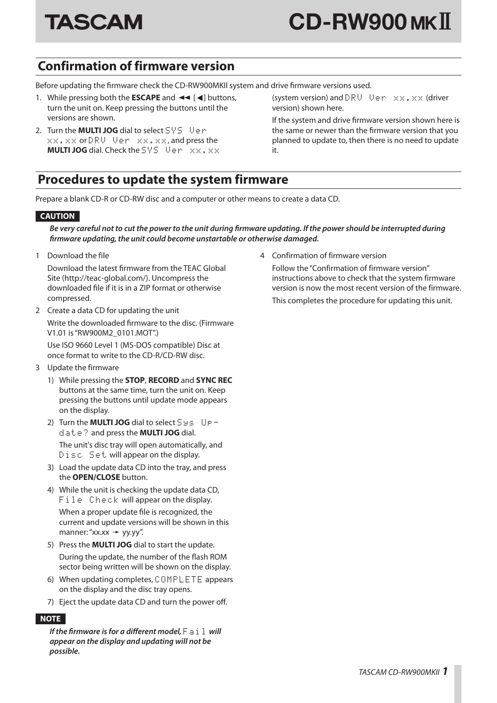

# **Confirmation of firmware version**

Before updating the firmware check the CD-RW900MKII system and drive firmware versions used.

- 1. While pressing both the **ESCAPE** and  $\blacktriangleleft$  [ $\blacktriangleleft$ ] buttons, turn the unit on. Keep pressing the buttons until the versions are shown.
- 2. Turn the **MULTI JOG** dial to select SYS Verxx.xx or DRV Ver xx.xx, and press the **MULTI JOG** dial. Check the SYS Ven xx.xx

(system version) and  $DRU - Ver -\bar{x}\bar{x} + \bar{x}\bar{x}$  (driver version) shown here.

If the system and drive firmware version shown here is the same or newer than the firmware version that you planned to update to, then there is no need to update it.

### **Procedures to update the system firmware**

Prepare a blank CD-R or CD-RW disc and a computer or other means to create a data CD.

### **CAUTION**

#### *Be very careful not to cut the power to the unit during firmware updating. If the power should be interrupted during firmware updating, the unit could become unstartable or otherwise damaged.*

1 Download the file

Download the latest firmware from the TEAC Global Site (http://teac-global.com/). Uncompress the downloaded file if it is in a ZIP format or otherwise compressed.

2 Create a data CD for updating the unit Write the downloaded firmware to the disc. (Firmware V1.01 is "RW900M2\_0101.MOT".)

Use ISO 9660 Level 1 (MS-DOS compatible) Disc at once format to write to the CD-R/CD-RW disc.

- 3 Update the firmware
	- 1) While pressing the **STOP**, **RECORD** and **SYNC REC** buttons at the same time, turn the unit on. Keep pressing the buttons until update mode appears on the display.
	- 2) Turn the **MULTI JOG** dial to select Sys Update? and press the **MULTI JOG** dial. The unit's disc tray will open automatically, and Disc Set will appear on the display.
	- 3) Load the update data CD into the tray, and press the **OPEN/CLOSE** button.
	- 4) While the unit is checking the update data CD, File Check will appear on the display. When a proper update file is recognized, the current and update versions will be shown in this manner: "xx.xx  $\rightarrow$  yy.yy".
	- 5) Press the **MULTI JOG** dial to start the update. During the update, the number of the flash ROM sector being written will be shown on the display.
	- 6) When updating completes, COMPLETE appears on the display and the disc tray opens.
	- 7) Eject the update data CD and turn the power off.

#### **NOTE**

*If the firmware is for a different model,*  $F \ni i \, l \,$  will *appear on the display and updating will not be possible.*

4 Confirmation of firmware version

Follow the "Confirmation of firmware version" instructions above to check that the system firmware version is now the most recent version of the firmware. This completes the procedure for updating this unit.